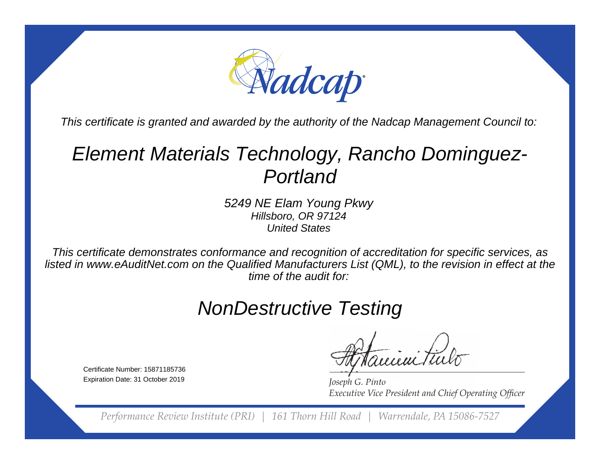

This certificate is granted and awarded by the authority of the Nadcap Management Council to:

# Element Materials Technology, Rancho Dominguez-Portland

5249 NE Elam Young PkwyHillsboro, OR 97124United States

This certificate demonstrates conformance and recognition of accreditation for specific services, as listed in www.eAuditNet.com on the Qualified Manufacturers List (QML), to the revision in effect at thetime of the audit for:

## NonDestructive Testing

ieni tu

*Joseph G. Pinto* **Executive Vice President and Chief Operating Officer** 

*Performance Review Institute (PRI) | 161 Thorn Hill Road | Warrendale, PA 15086-7527*

Certificate Number: 15871185736Expiration Date: 31 October 2019